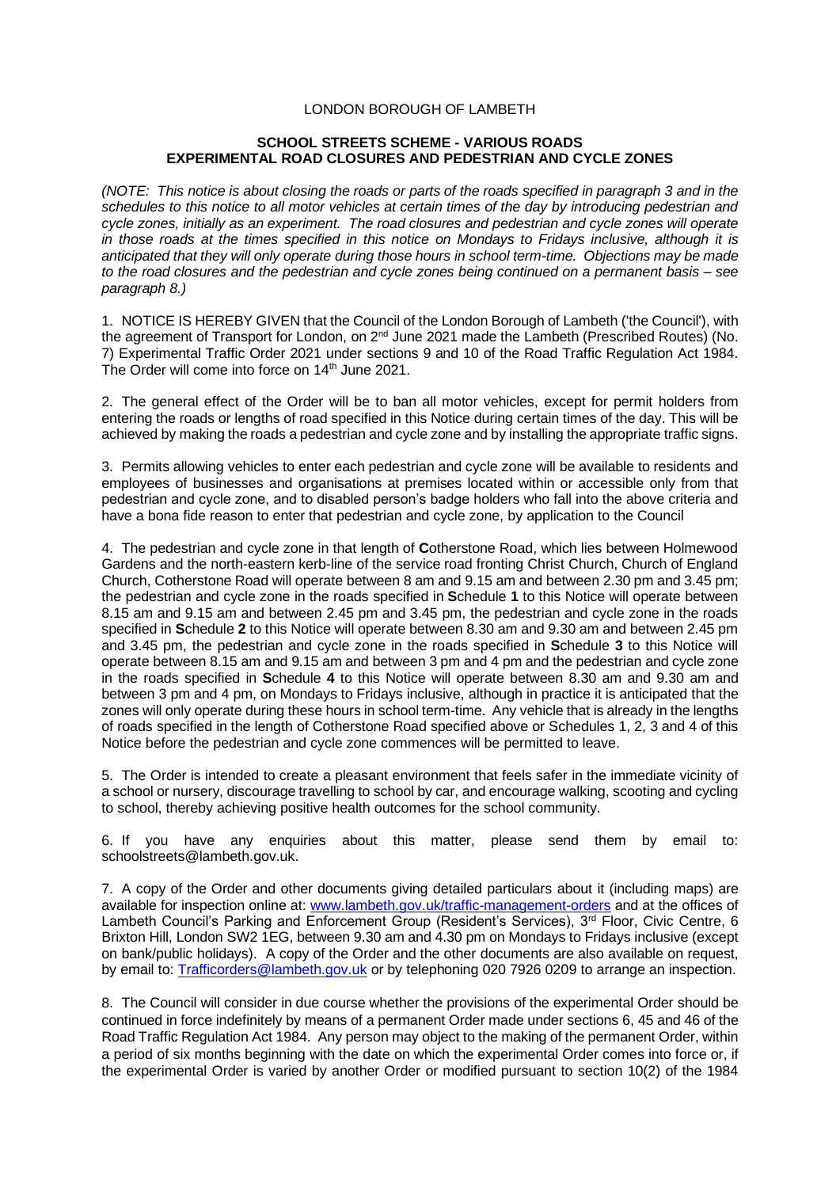# LONDON BOROUGH OF LAMBETH

### **SCHOOL STREETS SCHEME - VARIOUS ROADS EXPERIMENTAL ROAD CLOSURES AND PEDESTRIAN AND CYCLE ZONES**

*(NOTE: This notice is about closing the roads or parts of the roads specified in paragraph 3 and in the schedules to this notice to all motor vehicles at certain times of the day by introducing pedestrian and cycle zones, initially as an experiment. The road closures and pedestrian and cycle zones will operate in those roads at the times specified in this notice on Mondays to Fridays inclusive, although it is anticipated that they will only operate during those hours in school term-time. Objections may be made to the road closures and the pedestrian and cycle zones being continued on a permanent basis – see paragraph 8.)*

1. NOTICE IS HEREBY GIVEN that the Council of the London Borough of Lambeth ('the Council'), with the agreement of Transport for London, on 2<sup>nd</sup> June 2021 made the Lambeth (Prescribed Routes) (No. 7) Experimental Traffic Order 2021 under sections 9 and 10 of the Road Traffic Regulation Act 1984. The Order will come into force on 14<sup>th</sup> June 2021.

2. The general effect of the Order will be to ban all motor vehicles, except for permit holders from entering the roads or lengths of road specified in this Notice during certain times of the day. This will be achieved by making the roads a pedestrian and cycle zone and by installing the appropriate traffic signs.

3. Permits allowing vehicles to enter each pedestrian and cycle zone will be available to residents and employees of businesses and organisations at premises located within or accessible only from that pedestrian and cycle zone, and to disabled person's badge holders who fall into the above criteria and have a bona fide reason to enter that pedestrian and cycle zone, by application to the Council

4. The pedestrian and cycle zone in that length of **C**otherstone Road, which lies between Holmewood Gardens and the north-eastern kerb-line of the service road fronting Christ Church, Church of England Church, Cotherstone Road will operate between 8 am and 9.15 am and between 2.30 pm and 3.45 pm; the pedestrian and cycle zone in the roads specified in **S**chedule **1** to this Notice will operate between 8.15 am and 9.15 am and between 2.45 pm and 3.45 pm, the pedestrian and cycle zone in the roads specified in **S**chedule **2** to this Notice will operate between 8.30 am and 9.30 am and between 2.45 pm and 3.45 pm, the pedestrian and cycle zone in the roads specified in **S**chedule **3** to this Notice will operate between 8.15 am and 9.15 am and between 3 pm and 4 pm and the pedestrian and cycle zone in the roads specified in **S**chedule **4** to this Notice will operate between 8.30 am and 9.30 am and between 3 pm and 4 pm, on Mondays to Fridays inclusive, although in practice it is anticipated that the zones will only operate during these hours in school term-time. Any vehicle that is already in the lengths of roads specified in the length of Cotherstone Road specified above or Schedules 1, 2, 3 and 4 of this Notice before the pedestrian and cycle zone commences will be permitted to leave.

5. The Order is intended to create a pleasant environment that feels safer in the immediate vicinity of a school or nursery, discourage travelling to school by car, and encourage walking, scooting and cycling to school, thereby achieving positive health outcomes for the school community.

6. If you have any enquiries about this matter, please send them by email to: [schoolstreets@lambeth.gov.uk.](mailto:schoolstreets@lambeth.gov.uk)

7. A copy of the Order and other documents giving detailed particulars about it (including maps) are available for inspection online at: [www.lambeth.gov.uk/traffic-management-orders](https://eur01.safelinks.protection.outlook.com/?url=http%3A%2F%2Fwww.lambeth.gov.uk%2Ftraffic-management-orders&data=04%7C01%7CSahil.Dalsania%40projectcentre.co.uk%7C5ce743dd1b904ca693f308d915636cbb%7C3734172ae82a4ac7a3d302949970d5e6%7C0%7C0%7C637564339036623842%7CUnknown%7CTWFpbGZsb3d8eyJWIjoiMC4wLjAwMDAiLCJQIjoiV2luMzIiLCJBTiI6Ik1haWwiLCJXVCI6Mn0%3D%7C1000&sdata=haAJy9ZIGbZuHBmDuCqtuJ6iuG4XfuL6iJcL9%2Blih%2B4%3D&reserved=0) and at the offices of Lambeth Council's Parking and Enforcement Group (Resident's Services), 3<sup>rd</sup> Floor, Civic Centre, 6 Brixton Hill, London SW2 1EG, between 9.30 am and 4.30 pm on Mondays to Fridays inclusive (except on bank/public holidays). A copy of the Order and the other documents are also available on request, by email to: [Trafficorders@lambeth.gov.uk](mailto:Trafficorders@lambeth.gov.uk) or by telephoning 020 7926 0209 to arrange an inspection.

8. The Council will consider in due course whether the provisions of the experimental Order should be continued in force indefinitely by means of a permanent Order made under sections 6, 45 and 46 of the Road Traffic Regulation Act 1984. Any person may object to the making of the permanent Order, within a period of six months beginning with the date on which the experimental Order comes into force or, if the experimental Order is varied by another Order or modified pursuant to section 10(2) of the 1984